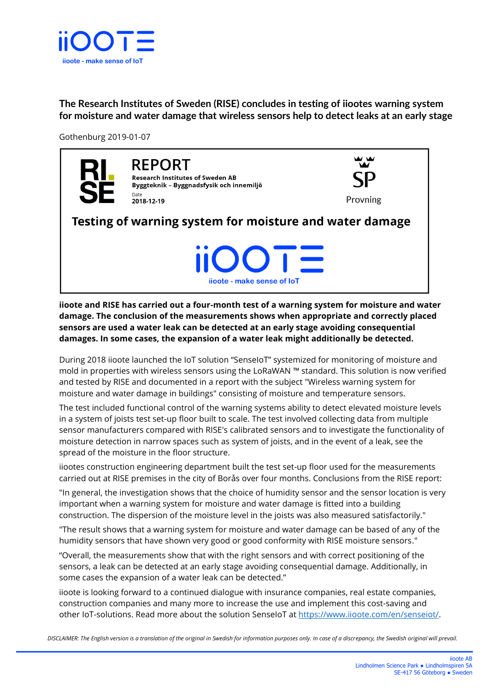

**The Research Institutes of Sweden (RISE) concludes in testing of iiootes warning system for moisture and water damage that wireless sensors help to detect leaks at an early stage** 

Gothenburg 2019-01-07



**REPORT Research Institutes of Sweden AB** Byggteknik - Byggnadsfysik och innemiljö Date 2018-12-19



Testing of warning system for moisture and water damage

iioote - make sense of loT

## **iioote and RISE has carried out a four-month test of a warning system for moisture and water damage. The conclusion of the measurements shows when appropriate and correctly placed sensors are used a water leak can be detected at an early stage avoiding consequential damages. In some cases, the expansion of a water leak might additionally be detected.**

During 2018 iioote launched the IoT solution "SenseIoT" systemized for monitoring of moisture and mold in properties with wireless sensors using the LoRaWAN ™ standard. This solution is now verified and tested by RISE and documented in a report with the subject "Wireless warning system for moisture and water damage in buildings" consisting of moisture and temperature sensors.

The test included functional control of the warning systems ability to detect elevated moisture levels in a system of joists test set-up floor built to scale. The test involved collecting data from multiple sensor manufacturers compared with RISE's calibrated sensors and to investigate the functionality of moisture detection in narrow spaces such as system of joists, and in the event of a leak, see the spread of the moisture in the floor structure.

iiootes construction engineering department built the test set-up floor used for the measurements carried out at RISE premises in the city of Borås over four months. Conclusions from the RISE report:

"In general, the investigation shows that the choice of humidity sensor and the sensor location is very important when a warning system for moisture and water damage is fitted into a building construction. The dispersion of the moisture level in the joists was also measured satisfactorily."

"The result shows that a warning system for moisture and water damage can be based of any of the humidity sensors that have shown very good or good conformity with RISE moisture sensors."

"Overall, the measurements show that with the right sensors and with correct positioning of the sensors, a leak can be detected at an early stage avoiding consequential damage. Additionally, in some cases the expansion of a water leak can be detected."

iioote is looking forward to a continued dialogue with insurance companies, real estate companies, construction companies and many more to increase the use and implement this cost-saving and other IoT-solutions. Read more about the solution SenseIoT at [https://www.iioote.com/en/senseiot/.](https://www.iioote.com/en/senseiot/)

*DISCLAIMER: The English version is a translation of the original in Swedish for information purposes only. In case of a discrepancy, the Swedish original will prevail.*